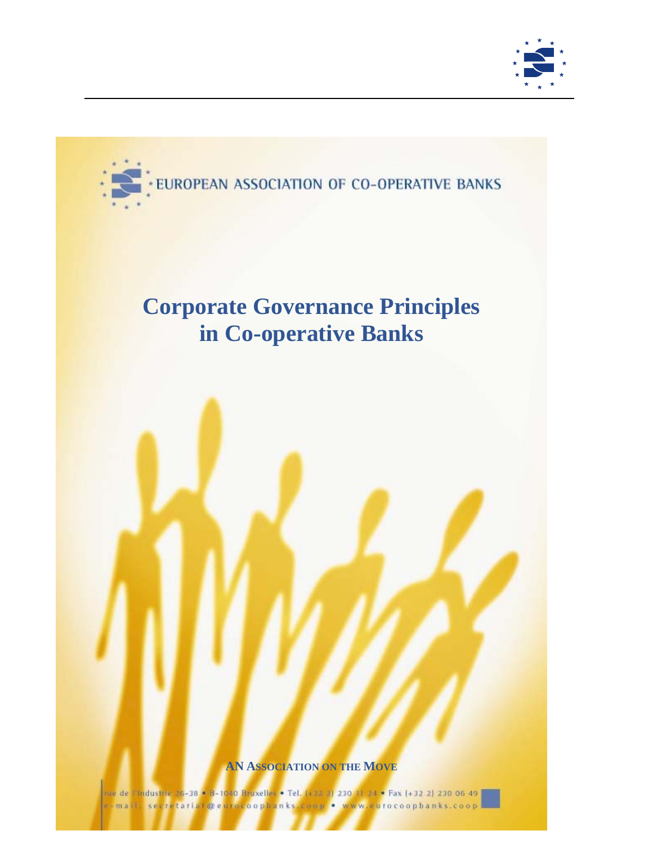



# **Corporate Governance Principles in Co-operative Banks**

## **AN ASSOCIATION ON THE MOVE**

rue de "l'industrie 36-38 <mark>\* 3</mark>-1040 Bruxelles • Tel. (+33-2) 230-11-24 • Fax (+32-2) 230-06-49 <mark>.</mark> serretariat@eurocoophanks oon . www.gurocoophanks.coop  $m.a.$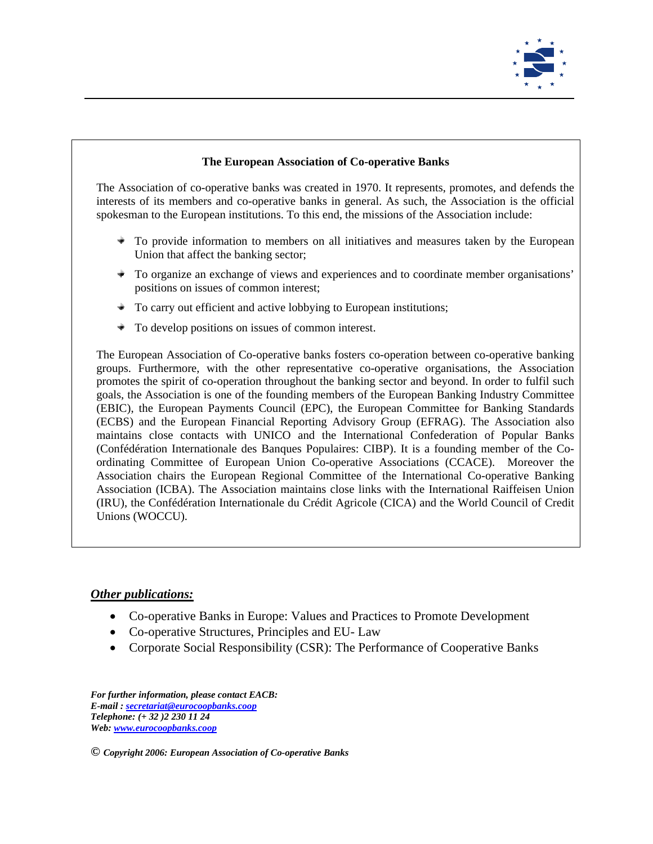

#### **The European Association of Co-operative Banks**

The Association of co-operative banks was created in 1970. It represents, promotes, and defends the interests of its members and co-operative banks in general. As such, the Association is the official spokesman to the European institutions. To this end, the missions of the Association include:

- $\bullet$  To provide information to members on all initiatives and measures taken by the European Union that affect the banking sector;
- To organize an exchange of views and experiences and to coordinate member organisations' positions on issues of common interest;
- ÷. To carry out efficient and active lobbying to European institutions;
- To develop positions on issues of common interest. ÷

The European Association of Co-operative banks fosters co-operation between co-operative banking groups. Furthermore, with the other representative co-operative organisations, the Association promotes the spirit of co-operation throughout the banking sector and beyond. In order to fulfil such goals, the Association is one of the founding members of the European Banking Industry Committee (EBIC), the European Payments Council (EPC), the European Committee for Banking Standards (ECBS) and the European Financial Reporting Advisory Group (EFRAG). The Association also maintains close contacts with UNICO and the International Confederation of Popular Banks (Confédération Internationale des Banques Populaires: CIBP). It is a founding member of the Coordinating Committee of European Union Co-operative Associations (CCACE). Moreover the Association chairs the European Regional Committee of the International Co-operative Banking Association (ICBA). The Association maintains close links with the International Raiffeisen Union (IRU), the Confédération Internationale du Crédit Agricole (CICA) and the World Council of Credit Unions (WOCCU).

## *Other publications:*

- Co-operative Banks in Europe: Values and Practices to Promote Development
- Co-operative Structures, Principles and EU- Law
- Corporate Social Responsibility (CSR): The Performance of Cooperative Banks

*For further information, please contact EACB: E-mail : secretariat@eurocoopbanks.coop Telephone: (+ 32 )2 230 11 24 Web: www.eurocoopbanks.coop*

*© Copyright 2006: European Association of Co-operative Banks*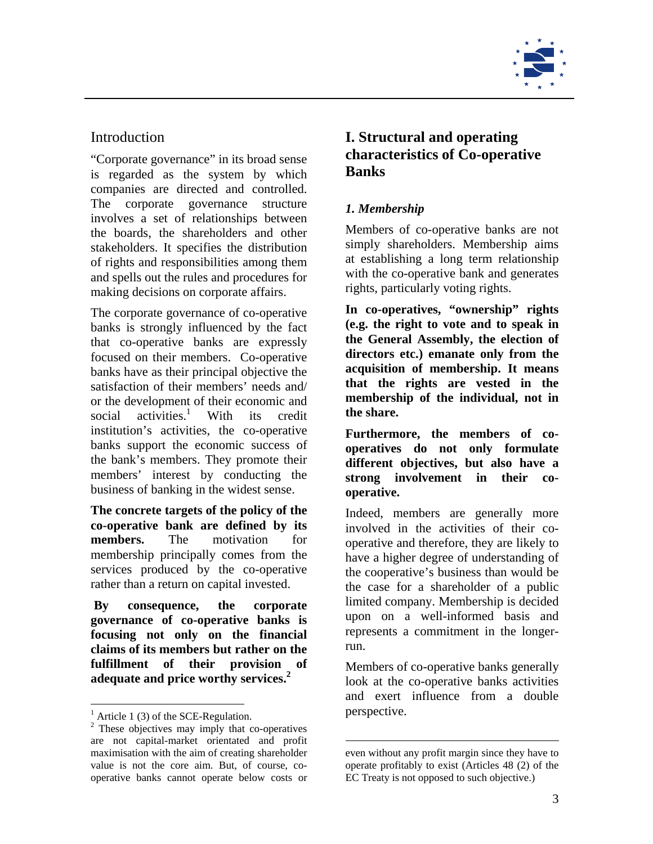

## **Introduction**

"Corporate governance" in its broad sense is regarded as the system by which companies are directed and controlled. The corporate governance structure involves a set of relationships between the boards, the shareholders and other stakeholders. It specifies the distribution of rights and responsibilities among them and spells out the rules and procedures for making decisions on corporate affairs.

The corporate governance of co-operative banks is strongly influenced by the fact that co-operative banks are expressly focused on their members. Co-operative banks have as their principal objective the satisfaction of their members' needs and/ or the development of their economic and social activities.<sup>1</sup> With its credit institution's activities, the co-operative banks support the economic success of the bank's members. They promote their members' interest by conducting the business of banking in the widest sense.

**The concrete targets of the policy of the co-operative bank are defined by its members.** The motivation for membership principally comes from the services produced by the co-operative rather than a return on capital invested.

**By consequence, the corporate governance of co-operative banks is focusing not only on the financial claims of its members but rather on the fulfillment of their provision of adequate and price worthy services.<sup>2</sup>** 

1

# **I. Structural and operating characteristics of Co-operative Banks**

## *1. Membership*

Members of co-operative banks are not simply shareholders. Membership aims at establishing a long term relationship with the co-operative bank and generates rights, particularly voting rights.

**In co-operatives, "ownership" rights (e.g. the right to vote and to speak in the General Assembly, the election of directors etc.) emanate only from the acquisition of membership. It means that the rights are vested in the membership of the individual, not in the share.** 

**Furthermore, the members of cooperatives do not only formulate different objectives, but also have a strong involvement in their cooperative.**

Indeed, members are generally more involved in the activities of their cooperative and therefore, they are likely to have a higher degree of understanding of the cooperative's business than would be the case for a shareholder of a public limited company. Membership is decided upon on a well-informed basis and represents a commitment in the longerrun.

Members of co-operative banks generally look at the co-operative banks activities and exert influence from a double perspective.

<sup>&</sup>lt;sup>1</sup> Article 1 (3) of the SCE-Regulation.

<sup>&</sup>lt;sup>2</sup> These objectives may imply that co-operatives are not capital-market orientated and profit maximisation with the aim of creating shareholder value is not the core aim. But, of course, cooperative banks cannot operate below costs or

 $\overline{a}$ even without any profit margin since they have to operate profitably to exist (Articles 48 (2) of the EC Treaty is not opposed to such objective.)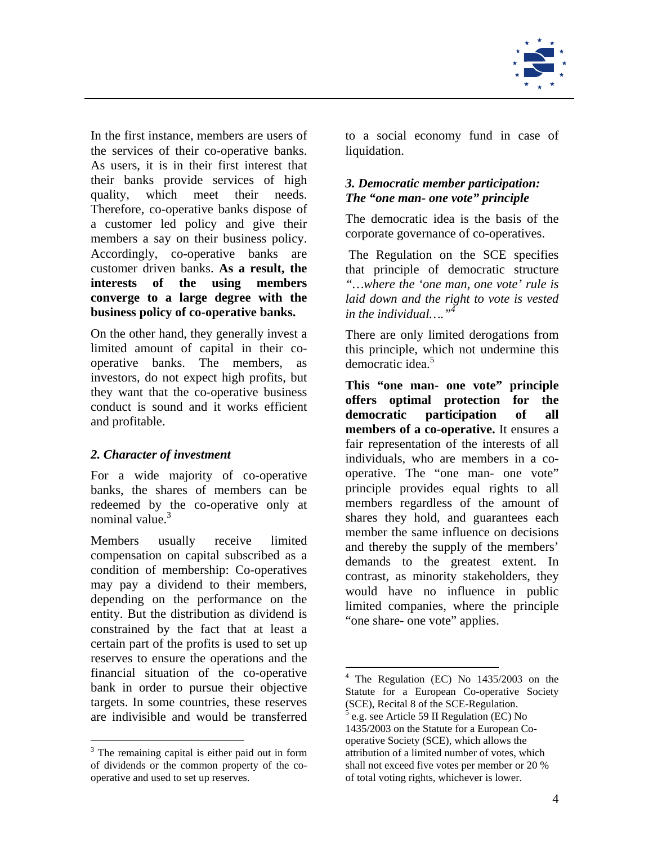

In the first instance, members are users of the services of their co-operative banks. As users, it is in their first interest that their banks provide services of high quality, which meet their needs. Therefore, co-operative banks dispose of a customer led policy and give their members a say on their business policy. Accordingly, co-operative banks are customer driven banks. **As a result, the interests of the using members converge to a large degree with the business policy of co-operative banks.** 

On the other hand, they generally invest a limited amount of capital in their cooperative banks. The members, as investors, do not expect high profits, but they want that the co-operative business conduct is sound and it works efficient and profitable.

## *2. Character of investment*

For a wide majority of co-operative banks, the shares of members can be redeemed by the co-operative only at nominal value. $3$ 

Members usually receive limited compensation on capital subscribed as a condition of membership: Co-operatives may pay a dividend to their members, depending on the performance on the entity. But the distribution as dividend is constrained by the fact that at least a certain part of the profits is used to set up reserves to ensure the operations and the financial situation of the co-operative bank in order to pursue their objective targets. In some countries, these reserves are indivisible and would be transferred

1

to a social economy fund in case of liquidation.

## *3. Democratic member participation: The "one man- one vote" principle*

The democratic idea is the basis of the corporate governance of co-operatives.

The Regulation on the SCE specifies that principle of democratic structure *"…where the 'one man, one vote' rule is laid down and the right to vote is vested in the individual…."4*

There are only limited derogations from this principle, which not undermine this democratic idea.<sup>5</sup>

**This "one man- one vote" principle offers optimal protection for the democratic participation of all members of a co-operative.** It ensures a fair representation of the interests of all individuals, who are members in a cooperative. The "one man- one vote" principle provides equal rights to all members regardless of the amount of shares they hold, and guarantees each member the same influence on decisions and thereby the supply of the members' demands to the greatest extent. In contrast, as minority stakeholders, they would have no influence in public limited companies, where the principle "one share- one vote" applies.

 $\overline{a}$ 

<sup>&</sup>lt;sup>3</sup> The remaining capital is either paid out in form of dividends or the common property of the cooperative and used to set up reserves.

<sup>&</sup>lt;sup>4</sup> The Regulation (EC) No 1435/2003 on the Statute for a European Co-operative Society (SCE), Recital 8 of the SCE-Regulation. 5 e.g. see Article 59 II Regulation (EC) No 1435/2003 on the Statute for a European Co-

operative Society (SCE), which allows the attribution of a limited number of votes, which shall not exceed five votes per member or 20 % of total voting rights, whichever is lower.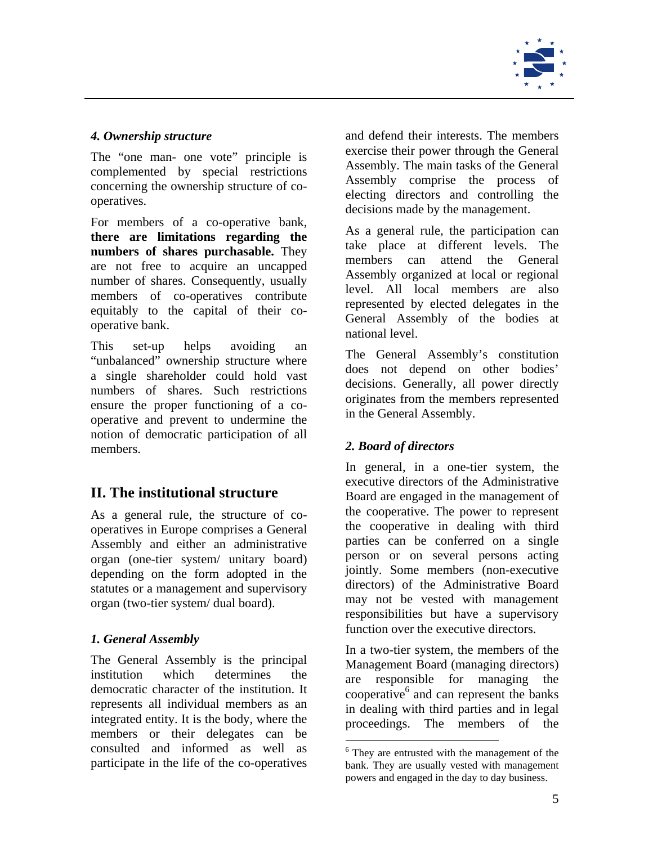

## *4. Ownership structure*

The "one man- one vote" principle is complemented by special restrictions concerning the ownership structure of cooperatives.

For members of a co-operative bank, **there are limitations regarding the numbers of shares purchasable.** They are not free to acquire an uncapped number of shares. Consequently, usually members of co-operatives contribute equitably to the capital of their cooperative bank.

This set-up helps avoiding an "unbalanced" ownership structure where a single shareholder could hold vast numbers of shares. Such restrictions ensure the proper functioning of a cooperative and prevent to undermine the notion of democratic participation of all members.

## **II. The institutional structure**

As a general rule, the structure of cooperatives in Europe comprises a General Assembly and either an administrative organ (one-tier system/ unitary board) depending on the form adopted in the statutes or a management and supervisory organ (two-tier system/ dual board).

## *1. General Assembly*

The General Assembly is the principal institution which determines the democratic character of the institution. It represents all individual members as an integrated entity. It is the body, where the members or their delegates can be consulted and informed as well as participate in the life of the co-operatives

and defend their interests. The members exercise their power through the General Assembly. The main tasks of the General Assembly comprise the process of electing directors and controlling the decisions made by the management.

As a general rule, the participation can take place at different levels. The members can attend the General Assembly organized at local or regional level. All local members are also represented by elected delegates in the General Assembly of the bodies at national level.

The General Assembly's constitution does not depend on other bodies' decisions. Generally, all power directly originates from the members represented in the General Assembly.

## *2. Board of directors*

In general, in a one-tier system, the executive directors of the Administrative Board are engaged in the management of the cooperative. The power to represent the cooperative in dealing with third parties can be conferred on a single person or on several persons acting jointly. Some members (non-executive directors) of the Administrative Board may not be vested with management responsibilities but have a supervisory function over the executive directors.

In a two-tier system, the members of the Management Board (managing directors) are responsible for managing the cooperative<sup>6</sup> and can represent the banks in dealing with third parties and in legal proceedings. The members of the

 $\overline{a}$ 

<sup>&</sup>lt;sup>6</sup> They are entrusted with the management of the bank. They are usually vested with management powers and engaged in the day to day business.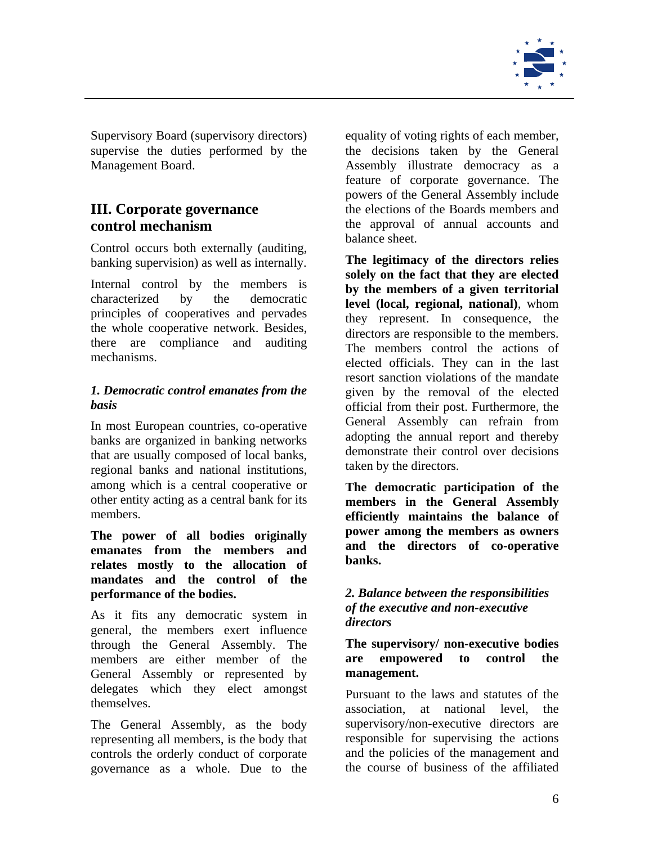

Supervisory Board (supervisory directors) supervise the duties performed by the Management Board.

## **III. Corporate governance control mechanism**

Control occurs both externally (auditing, banking supervision) as well as internally.

Internal control by the members is characterized by the democratic principles of cooperatives and pervades the whole cooperative network. Besides, there are compliance and auditing mechanisms.

#### *1. Democratic control emanates from the basis*

In most European countries, co-operative banks are organized in banking networks that are usually composed of local banks, regional banks and national institutions, among which is a central cooperative or other entity acting as a central bank for its members.

**The power of all bodies originally emanates from the members and relates mostly to the allocation of mandates and the control of the performance of the bodies.** 

As it fits any democratic system in general, the members exert influence through the General Assembly. The members are either member of the General Assembly or represented by delegates which they elect amongst themselves.

The General Assembly, as the body representing all members, is the body that controls the orderly conduct of corporate governance as a whole. Due to the

equality of voting rights of each member, the decisions taken by the General Assembly illustrate democracy as a feature of corporate governance. The powers of the General Assembly include the elections of the Boards members and the approval of annual accounts and balance sheet.

**The legitimacy of the directors relies solely on the fact that they are elected by the members of a given territorial level (local, regional, national)**, whom they represent. In consequence, the directors are responsible to the members. The members control the actions of elected officials. They can in the last resort sanction violations of the mandate given by the removal of the elected official from their post. Furthermore, the General Assembly can refrain from adopting the annual report and thereby demonstrate their control over decisions taken by the directors.

**The democratic participation of the members in the General Assembly efficiently maintains the balance of power among the members as owners and the directors of co-operative banks.** 

## *2. Balance between the responsibilities of the executive and non-executive directors*

#### **The supervisory/ non-executive bodies are empowered to control the management.**

Pursuant to the laws and statutes of the association, at national level, the supervisory/non-executive directors are responsible for supervising the actions and the policies of the management and the course of business of the affiliated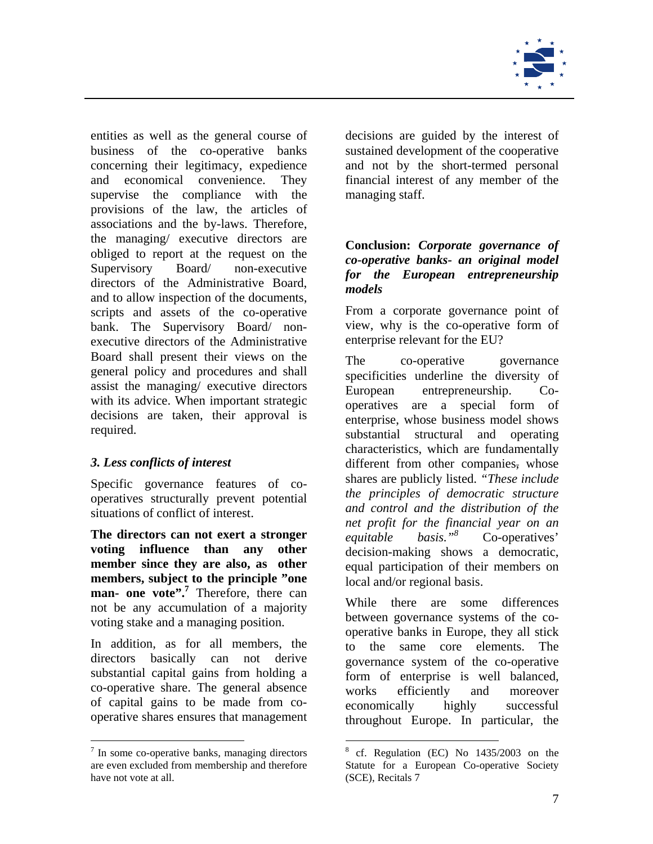

entities as well as the general course of business of the co-operative banks concerning their legitimacy, expedience and economical convenience. They supervise the compliance with the provisions of the law, the articles of associations and the by-laws. Therefore, the managing/ executive directors are obliged to report at the request on the Supervisory Board/ non-executive directors of the Administrative Board, and to allow inspection of the documents, scripts and assets of the co-operative bank. The Supervisory Board/ nonexecutive directors of the Administrative Board shall present their views on the general policy and procedures and shall assist the managing/ executive directors with its advice. When important strategic decisions are taken, their approval is required.

## *3. Less conflicts of interest*

Specific governance features of cooperatives structurally prevent potential situations of conflict of interest.

**The directors can not exert a stronger voting influence than any other member since they are also, as other members, subject to the principle "one**  man- one vote".<sup>7</sup> Therefore, there can not be any accumulation of a majority voting stake and a managing position.

In addition, as for all members, the directors basically can not derive substantial capital gains from holding a co-operative share. The general absence of capital gains to be made from cooperative shares ensures that management

1

decisions are guided by the interest of sustained development of the cooperative and not by the short-termed personal financial interest of any member of the managing staff.

## **Conclusion:** *Corporate governance of co-operative banks- an original model for the European entrepreneurship models*

From a corporate governance point of view, why is the co-operative form of enterprise relevant for the EU?

The co-operative governance specificities underline the diversity of European entrepreneurship. Cooperatives are a special form of enterprise, whose business model shows substantial structural and operating characteristics, which are fundamentally different from other companies, whose shares are publicly listed. *"These include the principles of democratic structure and control and the distribution of the net profit for the financial year on an equitable basis."8* Co-operatives' decision-making shows a democratic, equal participation of their members on local and/or regional basis.

While there are some differences between governance systems of the cooperative banks in Europe, they all stick to the same core elements. The governance system of the co-operative form of enterprise is well balanced, works efficiently and moreover economically highly successful throughout Europe. In particular, the

 $7$  In some co-operative banks, managing directors are even excluded from membership and therefore have not vote at all.

 $\overline{a}$ <sup>8</sup> cf. Regulation (EC) No 1435/2003 on the Statute for a European Co-operative Society (SCE), Recitals 7